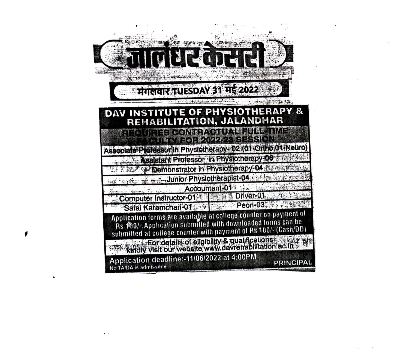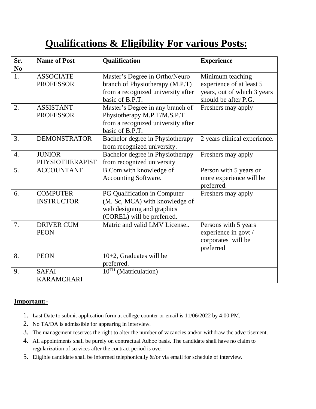## **Qualifications & Eligibility For various Posts:**

| Sr.              | <b>Name of Post</b> | Qualification                      | <b>Experience</b>            |
|------------------|---------------------|------------------------------------|------------------------------|
| N <sub>0</sub>   |                     |                                    |                              |
| 1.               | <b>ASSOCIATE</b>    | Master's Degree in Ortho/Neuro     | Minimum teaching             |
|                  | <b>PROFESSOR</b>    | branch of Physiotherapy (M.P.T)    | experience of at least 5     |
|                  |                     | from a recognized university after | years, out of which 3 years  |
|                  |                     | basic of B.P.T.                    | should be after P.G.         |
| 2.               | <b>ASSISTANT</b>    | Master's Degree in any branch of   | Freshers may apply           |
|                  | <b>PROFESSOR</b>    | Physiotherapy M.P.T/M.S.P.T        |                              |
|                  |                     | from a recognized university after |                              |
|                  |                     | basic of B.P.T.                    |                              |
| 3.               | <b>DEMONSTRATOR</b> | Bachelor degree in Physiotherapy   | 2 years clinical experience. |
|                  |                     | from recognized university.        |                              |
| $\overline{4}$ . | <b>JUNIOR</b>       | Bachelor degree in Physiotherapy   | Freshers may apply           |
|                  | PHYSIOTHERAPIST     | from recognized university         |                              |
| 5.               | <b>ACCOUNTANT</b>   | B.Com with knowledge of            | Person with 5 years or       |
|                  |                     | Accounting Software.               | more experience will be      |
|                  |                     |                                    | preferred.                   |
| 6.               | <b>COMPUTER</b>     | PG Qualification in Computer       | Freshers may apply           |
|                  | <b>INSTRUCTOR</b>   | (M. Sc, MCA) with knowledge of     |                              |
|                  |                     | web designing and graphics         |                              |
|                  |                     | (COREL) will be preferred.         |                              |
| 7.               | <b>DRIVER CUM</b>   | Matric and valid LMV License       | Persons with 5 years         |
|                  | <b>PEON</b>         |                                    | experience in govt /         |
|                  |                     |                                    | corporates will be           |
|                  |                     |                                    | preferred                    |
| 8.               | <b>PEON</b>         | 10+2, Graduates will be            |                              |
|                  |                     | preferred.                         |                              |
| 9.               | <b>SAFAI</b>        | 10TH (Matriculation)               |                              |
|                  | <b>KARAMCHARI</b>   |                                    |                              |

## **Important:-**

- 1. Last Date to submit application form at college counter or email is 11/06/2022 by 4:00 PM.
- 2. No TA/DA is admissible for appearing in interview.
- 3. The management reserves the right to alter the number of vacancies and/or withdraw the advertisement.
- 4. All appointments shall be purely on contractual Adhoc basis. The candidate shall have no claim to regularization of services after the contract period is over.
- 5. Eligible candidate shall be informed telephonically  $\&$ /or via email for schedule of interview.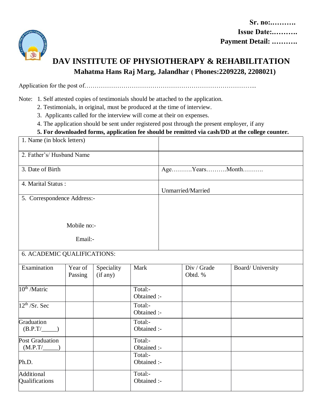

Qualifications

## **DAV INSTITUTE OF PHYSIOTHERAPY & REHABILITATION Mahatma Hans Raj Marg, Jalandhar ( Phones:2209228, 2208021)**

Application for the post of………………………………………………………………………...

Note: 1. Self attested copies of testimonials should be attached to the application.

2. Testimonials, in original, must be produced at the time of interview.

3. Applicants called for the interview will come at their on expenses.

4. The application should be sent under registered post through the present employer, if any

## **5. For downloaded forms, application fee should be remitted via cash/DD at the college counter.**

| 1. Name (in block letters)  |                    |                        |                        |               |                        |                   |  |  |  |
|-----------------------------|--------------------|------------------------|------------------------|---------------|------------------------|-------------------|--|--|--|
| 2. Father's/Husband Name    |                    |                        |                        |               |                        |                   |  |  |  |
| 3. Date of Birth            |                    |                        |                        | AgeYearsMonth |                        |                   |  |  |  |
| 4. Marital Status:          |                    |                        |                        |               | Unmarried/Married      |                   |  |  |  |
| 5. Correspondence Address:- |                    |                        |                        |               |                        |                   |  |  |  |
|                             |                    |                        |                        |               |                        |                   |  |  |  |
|                             | Mobile no:-        |                        |                        |               |                        |                   |  |  |  |
|                             | Email:-            |                        |                        |               |                        |                   |  |  |  |
|                             |                    |                        |                        |               |                        |                   |  |  |  |
| 6. ACADEMIC QUALIFICATIONS: |                    |                        |                        |               |                        |                   |  |  |  |
| Examination                 | Year of<br>Passing | Speciality<br>(if any) | Mark                   |               | Div / Grade<br>Obtd. % | Board/ University |  |  |  |
| 10 <sup>th</sup> /Matric    |                    |                        | Total:-<br>Obtained :- |               |                        |                   |  |  |  |
| $12^{th}$ /Sr. Sec          |                    |                        | Total:-<br>Obtained :- |               |                        |                   |  |  |  |
| Graduation<br>$(B.P.T/\_$   |                    |                        | Total:-<br>Obtained :- |               |                        |                   |  |  |  |
| Post Graduation<br>(M.P.T/  |                    |                        | Total:-<br>Obtained :- |               |                        |                   |  |  |  |
| Ph.D.                       |                    |                        | Total:-<br>Obtained :- |               |                        |                   |  |  |  |
| Additional                  |                    |                        | Total:-                |               |                        |                   |  |  |  |

Obtained :-